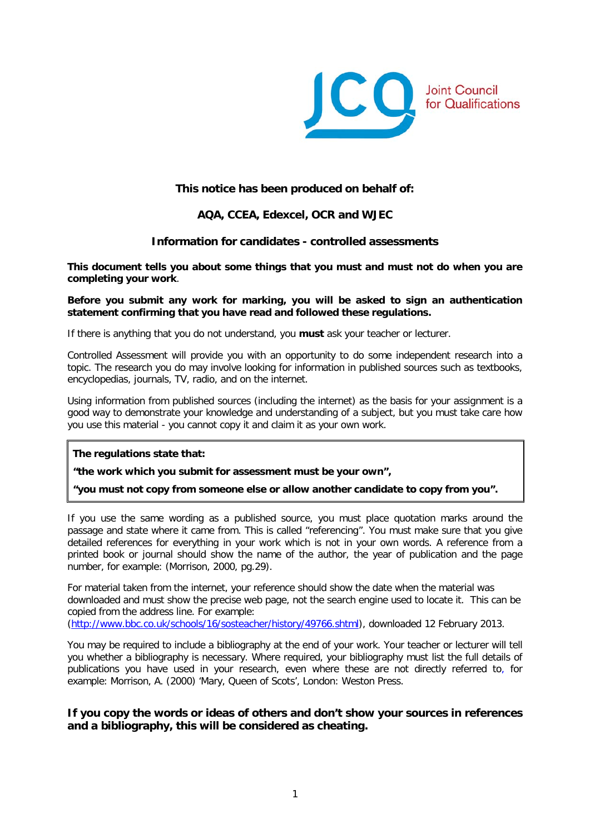

## **This notice has been produced on behalf of:**

# **AQA, CCEA, Edexcel, OCR and WJEC**

## **Information for candidates - controlled assessments**

**This document tells you about some things that you must and must not do when you are completing your work**.

#### **Before you submit any work for marking, you will be asked to sign an authentication statement confirming that you have read and followed these regulations.**

If there is anything that you do not understand, you **must** ask your teacher or lecturer.

Controlled Assessment will provide you with an opportunity to do some independent research into a topic. The research you do may involve looking for information in published sources such as textbooks, encyclopedias, journals, TV, radio, and on the internet.

Using information from published sources (including the internet) as the basis for your assignment is a good way to demonstrate your knowledge and understanding of a subject, but you must take care how you use this material - you cannot copy it and claim it as your own work.

**The regulations state that:**

**"the work which you submit for assessment must be your own",**

**"you must not copy from someone else or allow another candidate to copy from you".**

If you use the same wording as a published source, you must place quotation marks around the passage and state where it came from. This is called "referencing". You must make sure that you give detailed references for everything in your work which is not in your own words. A reference from a printed book or journal should show the name of the author, the year of publication and the page number, for example: (Morrison, 2000, pg.29).

For material taken from the internet, your reference should show the date when the material was downloaded and must show the precise web page, not the search engine used to locate it. This can be copied from the address line. For example:

[\(http://www.bbc.co.uk/schools/16/sosteacher/history/49766.shtml\)](http://www.bbc.co.uk/schools/16/sosteacher/history/49766.shtml), downloaded 12 February 2013.

You may be required to include a bibliography at the end of your work. Your teacher or lecturer will tell you whether a bibliography is necessary. Where required, your bibliography must list the full details of publications you have used in your research, even where these are not directly referred to, for example: Morrison, A. (2000) 'Mary, Queen of Scots', London: Weston Press.

## **If you copy the words or ideas of others and don't show your sources in references and a bibliography, this will be considered as cheating.**